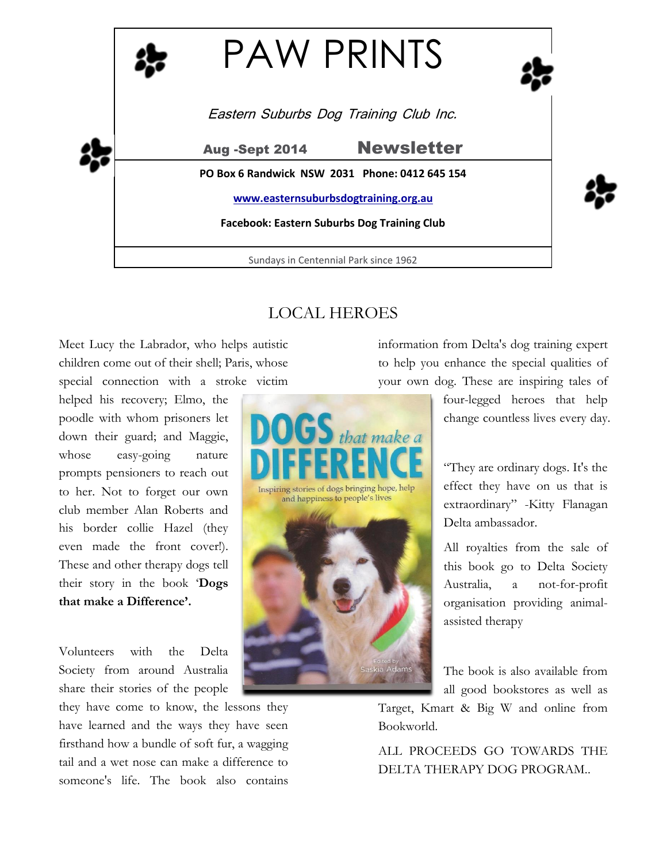

# LOCAL HEROES

Meet Lucy the Labrador, who helps autistic children come out of their shell; Paris, whose special connection with a stroke victim

helped his recovery; Elmo, the poodle with whom prisoners let down their guard; and Maggie, whose easy-going nature prompts pensioners to reach out to her. Not to forget our own club member Alan Roberts and his border collie Hazel (they even made the front cover!). These and other therapy dogs tell their story in the book '**Dogs that make a Difference'.**

Volunteers with the Delta Society from around Australia share their stories of the people

they have come to know, the lessons they have learned and the ways they have seen firsthand how a bundle of soft fur, a wagging tail and a wet nose can make a difference to someone's life. The book also contains



information from Delta's dog training expert to help you enhance the special qualities of your own dog. These are inspiring tales of

> four-legged heroes that help change countless lives every day.

> "They are ordinary dogs. It's the effect they have on us that is extraordinary" -Kitty Flanagan Delta ambassador.

> All royalties from the sale of this book go to Delta Society Australia, a not-for-profit organisation providing animalassisted therapy

The book is also available from all good bookstores as well as

Target, Kmart & Big W and online from Bookworld.

ALL PROCEEDS GO TOWARDS THE DELTA THERAPY DOG PROGRAM..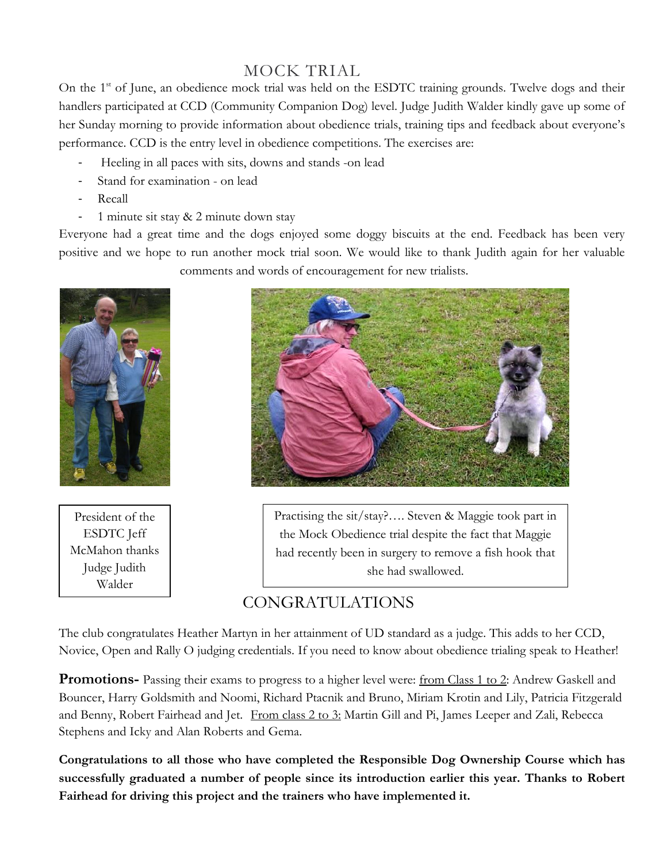# MOCK TRIAL

On the 1<sup>st</sup> of June, an obedience mock trial was held on the ESDTC training grounds. Twelve dogs and their handlers participated at CCD (Community Companion Dog) level. Judge Judith Walder kindly gave up some of her Sunday morning to provide information about obedience trials, training tips and feedback about everyone's performance. CCD is the entry level in obedience competitions. The exercises are:

- Heeling in all paces with sits, downs and stands -on lead
- Stand for examination on lead
- Recall
- 1 minute sit stay & 2 minute down stay

Everyone had a great time and the dogs enjoyed some doggy biscuits at the end. Feedback has been very positive and we hope to run another mock trial soon. We would like to thank Judith again for her valuable comments and words of encouragement for new trialists.



President of the ESDTC Jeff McMahon thanks Judge Judith Walder



Practising the sit/stay?…. Steven & Maggie took part in the Mock Obedience trial despite the fact that Maggie had recently been in surgery to remove a fish hook that she had swallowed.

## CONGRATULATIONS

The club congratulates Heather Martyn in her attainment of UD standard as a judge. This adds to her CCD, Novice, Open and Rally O judging credentials. If you need to know about obedience trialing speak to Heather!

**Promotions-** Passing their exams to progress to a higher level were: <u>from Class 1 to 2</u>: Andrew Gaskell and Bouncer, Harry Goldsmith and Noomi, Richard Ptacnik and Bruno, Miriam Krotin and Lily, Patricia Fitzgerald and Benny, Robert Fairhead and Jet. From class 2 to 3: Martin Gill and Pi, James Leeper and Zali, Rebecca Stephens and Icky and Alan Roberts and Gema.

**Congratulations to all those who have completed the Responsible Dog Ownership Course which has successfully graduated a number of people since its introduction earlier this year. Thanks to Robert Fairhead for driving this project and the trainers who have implemented it.**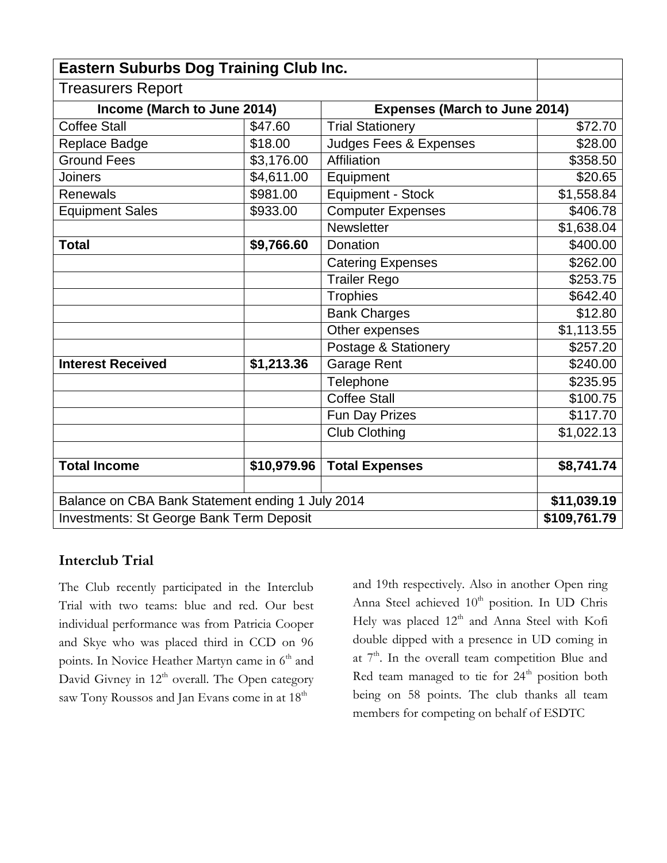| <b>Eastern Suburbs Dog Training Club Inc.</b>    |             |                                      |              |
|--------------------------------------------------|-------------|--------------------------------------|--------------|
| <b>Treasurers Report</b>                         |             |                                      |              |
| Income (March to June 2014)                      |             | <b>Expenses (March to June 2014)</b> |              |
| <b>Coffee Stall</b>                              | \$47.60     | <b>Trial Stationery</b>              | \$72.70      |
| Replace Badge                                    | \$18.00     | <b>Judges Fees &amp; Expenses</b>    | \$28.00      |
| <b>Ground Fees</b>                               | \$3,176.00  | Affiliation                          | \$358.50     |
| <b>Joiners</b>                                   | \$4,611.00  | Equipment                            | \$20.65      |
| Renewals                                         | \$981.00    | <b>Equipment - Stock</b>             | \$1,558.84   |
| <b>Equipment Sales</b>                           | \$933.00    | <b>Computer Expenses</b>             | \$406.78     |
|                                                  |             | <b>Newsletter</b>                    | \$1,638.04   |
| <b>Total</b>                                     | \$9,766.60  | Donation                             | \$400.00     |
|                                                  |             | <b>Catering Expenses</b>             | \$262.00     |
|                                                  |             | <b>Trailer Rego</b>                  | \$253.75     |
|                                                  |             | <b>Trophies</b>                      | \$642.40     |
|                                                  |             | <b>Bank Charges</b>                  | \$12.80      |
|                                                  |             | Other expenses                       | \$1,113.55   |
|                                                  |             | Postage & Stationery                 | \$257.20     |
| <b>Interest Received</b>                         | \$1,213.36  | <b>Garage Rent</b>                   | \$240.00     |
|                                                  |             | Telephone                            | \$235.95     |
|                                                  |             | <b>Coffee Stall</b>                  | \$100.75     |
|                                                  |             | Fun Day Prizes                       | \$117.70     |
|                                                  |             | <b>Club Clothing</b>                 | \$1,022.13   |
|                                                  |             |                                      |              |
| <b>Total Income</b>                              | \$10,979.96 | <b>Total Expenses</b>                | \$8,741.74   |
|                                                  |             |                                      |              |
| Balance on CBA Bank Statement ending 1 July 2014 |             |                                      | \$11,039.19  |
| <b>Investments: St George Bank Term Deposit</b>  |             |                                      | \$109,761.79 |

### **Interclub Trial**

The Club recently participated in the Interclub Trial with two teams: blue and red. Our best individual performance was from Patricia Cooper and Skye who was placed third in CCD on 96 points. In Novice Heather Martyn came in 6<sup>th</sup> and David Givney in  $12<sup>th</sup>$  overall. The Open category saw Tony Roussos and Jan Evans come in at 18<sup>th</sup>

and 19th respectively. Also in another Open ring Anna Steel achieved 10<sup>th</sup> position. In UD Chris Hely was placed 12<sup>th</sup> and Anna Steel with Kofi double dipped with a presence in UD coming in at 7<sup>th</sup>. In the overall team competition Blue and Red team managed to tie for 24<sup>th</sup> position both being on 58 points. The club thanks all team members for competing on behalf of ESDTC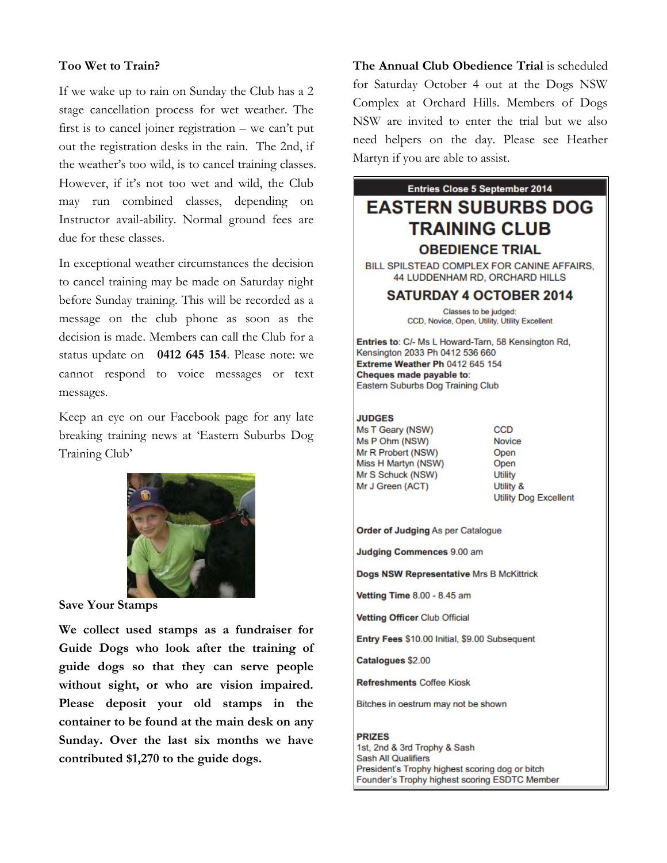#### **Too Wet to Train?**

If we wake up to rain on Sunday the Club has a 2 stage cancellation process for wet weather. The first is to cancel joiner registration – we can't put out the registration desks in the rain. The 2nd, if the weather's too wild, is to cancel training classes. However, if it's not too wet and wild, the Club may run combined classes, depending on Instructor avail-ability. Normal ground fees are due for these classes.

In exceptional weather circumstances the decision to cancel training may be made on Saturday night before Sunday training. This will be recorded as a message on the club phone as soon as the decision is made. Members can call the Club for a status update on **0412 645 154**. Please note: we cannot respond to voice messages or text messages.

Keep an eye on our Facebook page for any late breaking training news at 'Eastern Suburbs Dog Training Club'



**Save Your Stamps**

**We collect used stamps as a fundraiser for Guide Dogs who look after the training of guide dogs so that they can serve people without sight, or who are vision impaired. Please deposit your old stamps in the container to be found at the main desk on any Sunday. Over the last six months we have contributed \$1,270 to the guide dogs.**

**The Annual Club Obedience Trial** is scheduled for Saturday October 4 out at the Dogs NSW Complex at Orchard Hills. Members of Dogs NSW are invited to enter the trial but we also need helpers on the day. Please see Heather Martyn if you are able to assist.

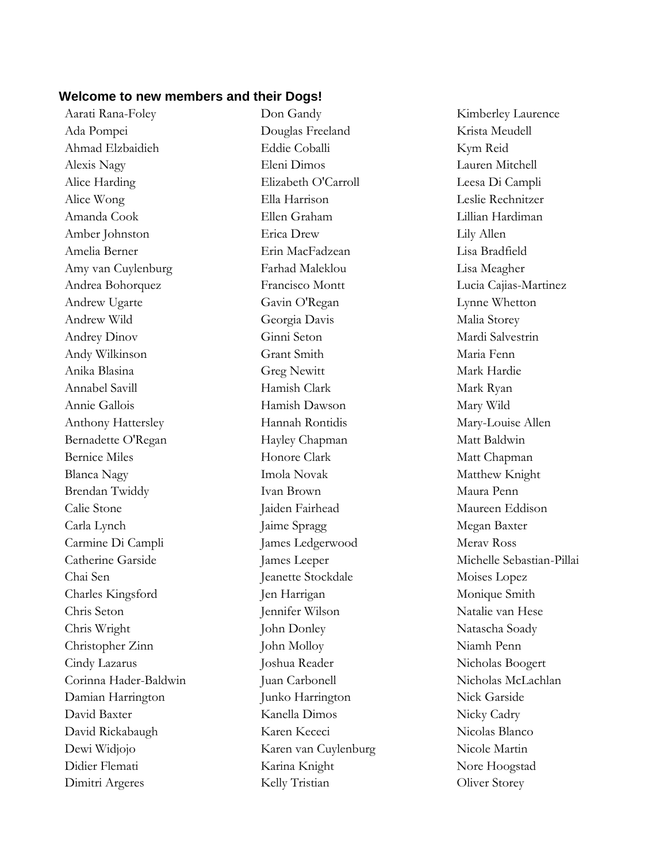#### **Welcome to new members and their Dogs!**

Aarati Rana-Foley Ada Pompei Ahmad Elzbaidieh Alexis Nagy Alice Harding Alice Wong Amanda Cook Amber Johnston Amelia Berner Amy van Cuylenburg Andrea Bohorquez Andrew Ugarte Andrew Wild Andrey Dinov Andy Wilkinson Anika Blasina Annabel Savill Annie Gallois Anthony Hattersley Bernadette O'Regan Bernice Miles Blanca Nagy Brendan Twiddy Calie Stone Carla Lynch Carmine Di Campli Catherine Garside Chai Sen Charles Kingsford Chris Seton Chris Wright Christopher Zinn Cindy Lazarus Corinna Hader-Baldwin Damian Harrington David Baxter David Rickabaugh Dewi Widjojo Didier Flemati Dimitri Argeres

Don Gandy Douglas Freeland Eddie Coballi Eleni Dimos Elizabeth O'Carroll Ella Harrison Ellen Graham Erica Drew Erin MacFadzean Farhad Maleklou Francisco Montt Gavin O'Regan Georgia Davis Ginni Seton Grant Smith Greg Newitt Hamish Clark Hamish Dawson Hannah Rontidis Hayley Chapman Honore Clark Imola Novak Ivan Brown Jaiden Fairhead Jaime Spragg James Ledgerwood James Leeper Jeanette Stockdale Jen Harrigan Jennifer Wilson John Donley John Molloy Joshua Reader Juan Carbonell Junko Harrington Kanella Dimos Karen Kececi Karen van Cuylenburg Karina Knight Kelly Tristian

Kimberley Laurence Krista Meudell Kym Reid Lauren Mitchell Leesa Di Campli Leslie Rechnitzer Lillian Hardiman Lily Allen Lisa Bradfield Lisa Meagher Lucia Cajias-Martinez Lynne Whetton Malia Storey Mardi Salvestrin Maria Fenn Mark Hardie Mark Ryan Mary Wild Mary-Louise Allen Matt Baldwin Matt Chapman Matthew Knight Maura Penn Maureen Eddison Megan Baxter Merav Ross Michelle Sebastian-Pillai Moises Lopez Monique Smith Natalie van Hese Natascha Soady Niamh Penn Nicholas Boogert Nicholas McLachlan Nick Garside Nicky Cadry Nicolas Blanco Nicole Martin Nore Hoogstad Oliver Storey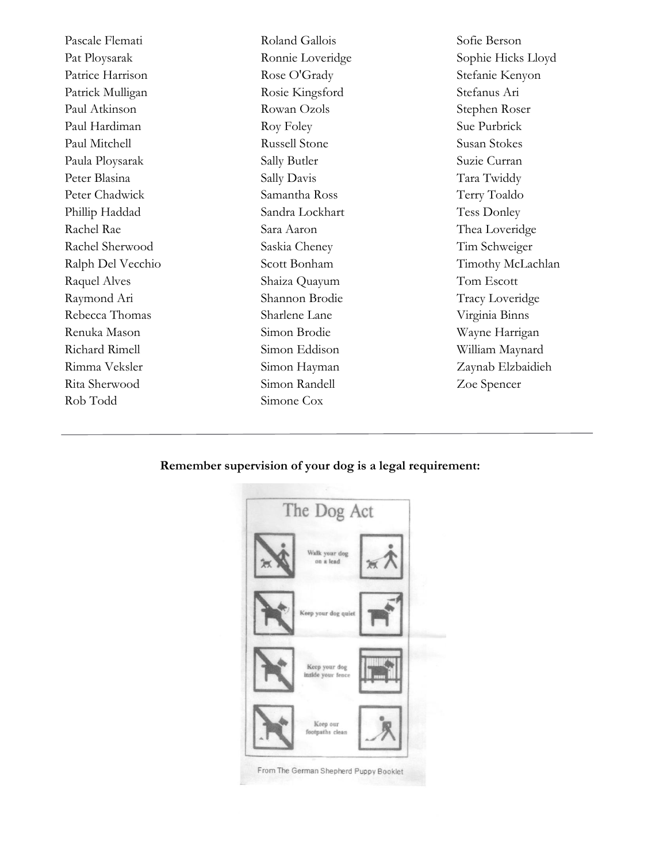Pascale Flemati Pat Ploysarak Patrice Harrison Patrick Mulligan Paul Atkinson Paul Hardiman Paul Mitchell Paula Ploysarak Peter Blasina Peter Chadwick Phillip Haddad Rachel Rae Rachel Sherwood Ralph Del Vecchio Raquel Alves Raymond Ari Rebecca Thomas Renuka Mason Richard Rimell Rimma Veksler Rita Sherwood Rob Todd

Roland Gallois Ronnie Loveridge Rose O'Grady Rosie Kingsford Rowan Ozols Roy Foley Russell Stone Sally Butler Sally Davis Samantha Ross Sandra Lockhart Sara Aaron Saskia Cheney Scott Bonham Shaiza Quayum Shannon Brodie Sharlene Lane Simon Brodie Simon Eddison Simon Hayman Simon Randell Simone Cox

Sofie Berson Sophie Hicks Lloyd Stefanie Kenyon Stefanus Ari Stephen Roser Sue Purbrick Susan Stokes Suzie Curran Tara Twiddy Terry Toaldo Tess Donley Thea Loveridge Tim Schweiger Timothy McLachlan Tom Escott Tracy Loveridge Virginia Binns Wayne Harrigan William Maynard Zaynab Elzbaidieh Zoe Spencer

#### **Remember supervision of your dog is a legal requirement:**

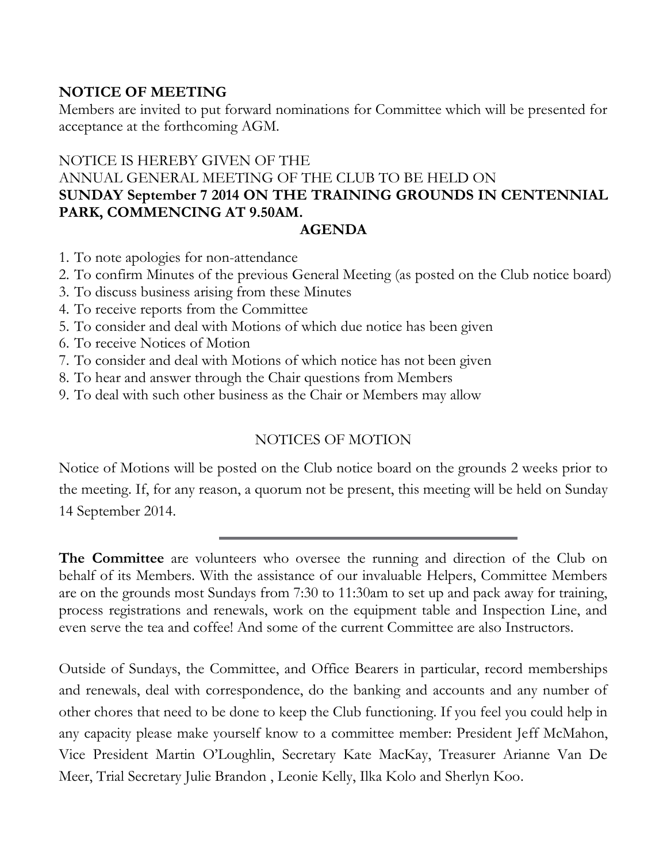### **NOTICE OF MEETING**

Members are invited to put forward nominations for Committee which will be presented for acceptance at the forthcoming AGM.

# NOTICE IS HEREBY GIVEN OF THE ANNUAL GENERAL MEETING OF THE CLUB TO BE HELD ON **SUNDAY September 7 2014 ON THE TRAINING GROUNDS IN CENTENNIAL PARK, COMMENCING AT 9.50AM.**

### **AGENDA**

- 1. To note apologies for non-attendance
- 2. To confirm Minutes of the previous General Meeting (as posted on the Club notice board)
- 3. To discuss business arising from these Minutes
- 4. To receive reports from the Committee
- 5. To consider and deal with Motions of which due notice has been given
- 6. To receive Notices of Motion
- 7. To consider and deal with Motions of which notice has not been given
- 8. To hear and answer through the Chair questions from Members
- 9. To deal with such other business as the Chair or Members may allow

## NOTICES OF MOTION

Notice of Motions will be posted on the Club notice board on the grounds 2 weeks prior to the meeting. If, for any reason, a quorum not be present, this meeting will be held on Sunday 14 September 2014.

**The Committee** are volunteers who oversee the running and direction of the Club on behalf of its Members. With the assistance of our invaluable Helpers, Committee Members are on the grounds most Sundays from 7:30 to 11:30am to set up and pack away for training, process registrations and renewals, work on the equipment table and Inspection Line, and even serve the tea and coffee! And some of the current Committee are also Instructors.

Outside of Sundays, the Committee, and Office Bearers in particular, record memberships and renewals, deal with correspondence, do the banking and accounts and any number of other chores that need to be done to keep the Club functioning. If you feel you could help in any capacity please make yourself know to a committee member: President Jeff McMahon, Vice President Martin O'Loughlin, Secretary Kate MacKay, Treasurer Arianne Van De Meer, Trial Secretary Julie Brandon , Leonie Kelly, Ilka Kolo and Sherlyn Koo.